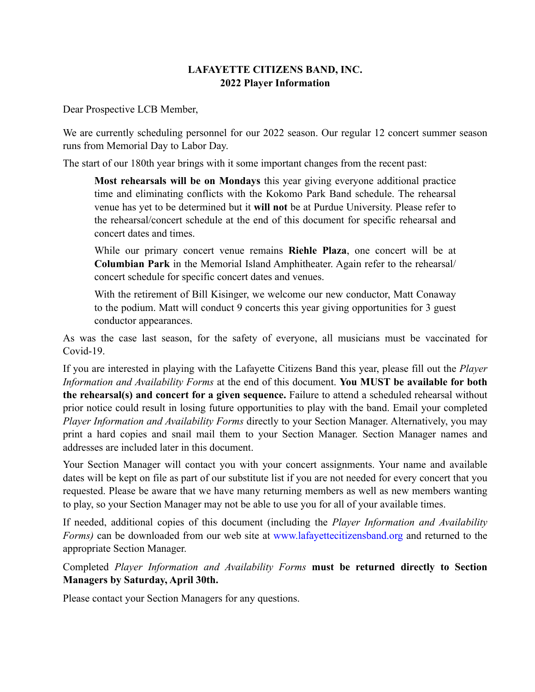## **LAFAYETTE CITIZENS BAND, INC. 2022 Player Information**

Dear Prospective LCB Member,

We are currently scheduling personnel for our 2022 season. Our regular 12 concert summer season runs from Memorial Day to Labor Day.

The start of our 180th year brings with it some important changes from the recent past:

**Most rehearsals will be on Mondays** this year giving everyone additional practice time and eliminating conflicts with the Kokomo Park Band schedule. The rehearsal venue has yet to be determined but it **will not** be at Purdue University. Please refer to the rehearsal/concert schedule at the end of this document for specific rehearsal and concert dates and times.

While our primary concert venue remains **Riehle Plaza**, one concert will be at **Columbian Park** in the Memorial Island Amphitheater. Again refer to the rehearsal/ concert schedule for specific concert dates and venues.

With the retirement of Bill Kisinger, we welcome our new conductor, Matt Conaway to the podium. Matt will conduct 9 concerts this year giving opportunities for 3 guest conductor appearances.

As was the case last season, for the safety of everyone, all musicians must be vaccinated for Covid-19.

If you are interested in playing with the Lafayette Citizens Band this year, please fill out the *Player Information and Availability Forms* at the end of this document. **You MUST be available for both the rehearsal(s) and concert for a given sequence.** Failure to attend a scheduled rehearsal without prior notice could result in losing future opportunities to play with the band. Email your completed *Player Information and Availability Forms* directly to your Section Manager. Alternatively, you may print a hard copies and snail mail them to your Section Manager. Section Manager names and addresses are included later in this document.

Your Section Manager will contact you with your concert assignments. Your name and available dates will be kept on file as part of our substitute list if you are not needed for every concert that you requested. Please be aware that we have many returning members as well as new members wanting to play, so your Section Manager may not be able to use you for all of your available times.

If needed, additional copies of this document (including the *Player Information and Availability Forms)* can be downloaded from our web site at [www.lafayettecitizensband.org](http://www.lafayettecitizensband.org) and returned to the appropriate Section Manager.

Completed *Player Information and Availability Forms* **must be returned directly to Section Managers by Saturday, April 30th.**

Please contact your Section Managers for any questions.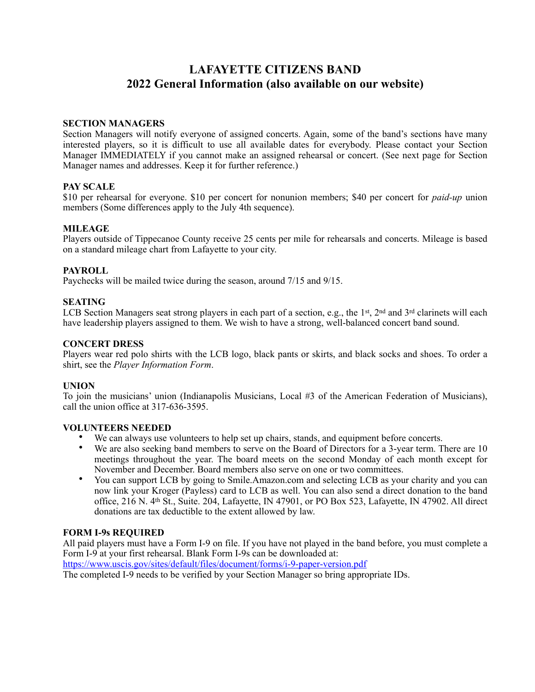# **LAFAYETTE CITIZENS BAND 2022 General Information (also available on our website)**

#### **SECTION MANAGERS**

Section Managers will notify everyone of assigned concerts. Again, some of the band's sections have many interested players, so it is difficult to use all available dates for everybody. Please contact your Section Manager IMMEDIATELY if you cannot make an assigned rehearsal or concert. (See next page for Section Manager names and addresses. Keep it for further reference.)

#### **PAY SCALE**

\$10 per rehearsal for everyone. \$10 per concert for nonunion members; \$40 per concert for *paid-up* union members (Some differences apply to the July 4th sequence).

#### **MILEAGE**

Players outside of Tippecanoe County receive 25 cents per mile for rehearsals and concerts. Mileage is based on a standard mileage chart from Lafayette to your city.

#### **PAYROLL**

Paychecks will be mailed twice during the season, around 7/15 and 9/15.

#### **SEATING**

LCB Section Managers seat strong players in each part of a section, e.g., the 1st, 2nd and 3rd clarinets will each have leadership players assigned to them. We wish to have a strong, well-balanced concert band sound.

#### **CONCERT DRESS**

Players wear red polo shirts with the LCB logo, black pants or skirts, and black socks and shoes. To order a shirt, see the *Player Information Form*.

#### **UNION**

To join the musicians' union (Indianapolis Musicians, Local #3 of the American Federation of Musicians), call the union office at 317-636-3595.

#### **VOLUNTEERS NEEDED**

- We can always use volunteers to help set up chairs, stands, and equipment before concerts.
- We are also seeking band members to serve on the Board of Directors for a 3-year term. There are 10 meetings throughout the year. The board meets on the second Monday of each month except for November and December. Board members also serve on one or two committees.
- You can support LCB by going to Smile.Amazon.com and selecting LCB as your charity and you can now link your Kroger (Payless) card to LCB as well. You can also send a direct donation to the band office, 216 N. 4th St., Suite. 204, Lafayette, IN 47901, or PO Box 523, Lafayette, IN 47902. All direct donations are tax deductible to the extent allowed by law.

#### **FORM I-9s REQUIRED**

All paid players must have a Form I-9 on file. If you have not played in the band before, you must complete a Form I-9 at your first rehearsal. Blank Form I-9s can be downloaded at:

<https://www.uscis.gov/sites/default/files/document/forms/i-9-paper-version.pdf>

The completed I-9 needs to be verified by your Section Manager so bring appropriate IDs.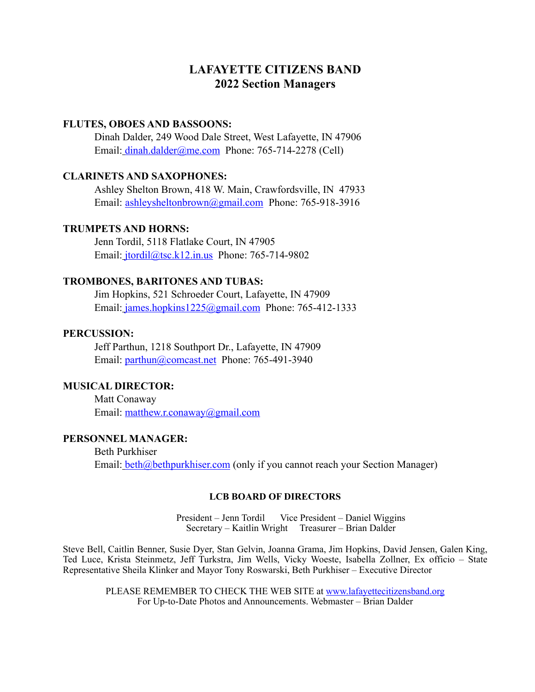# **LAFAYETTE CITIZENS BAND 2022 Section Managers**

#### **FLUTES, OBOES AND BASSOONS:**

Dinah Dalder, 249 Wood Dale Street, West Lafayette, IN 47906 Email: [dinah.dalder@me.com](mailto:dinah.dalder@me.com) Phone: 765-714-2278 (Cell)

#### **CLARINETS AND SAXOPHONES:**

Ashley Shelton Brown, 418 W. Main, Crawfordsville, IN 47933 Email: [ashleysheltonbrown@gmail.com](mailto:ashleysheltonbrown@gmail.com) Phone: 765-918-3916

#### **TRUMPETS AND HORNS:**

Jenn Tordil, 5118 Flatlake Court, IN 47905 Email: [jtordil@tsc.k12.in.us](mailto:jtordil@tsc.k12.in.us) Phone: 765-714-9802

### **TROMBONES, BARITONES AND TUBAS:**

Jim Hopkins, 521 Schroeder Court, Lafayette, IN 47909 Email: [james.hopkins1225@gmail.com](mailto:james.hopkins1225@gmail.com) Phone: 765-412-1333

#### **PERCUSSION:**

Jeff Parthun, 1218 Southport Dr., Lafayette, IN 47909 Email: [parthun@comcast.net](mailto:parthun@comcast.net) Phone: 765-491-3940

## **MUSICAL DIRECTOR:**

Matt Conaway Email: [matthew.r.conaway@gmail.com](mailto:matthew.r.conaway@gmail.com)

## **PERSONNEL MANAGER:**

Beth Purkhiser Email: **beth@bethpurkhiser.com** (only if you cannot reach your Section Manager)

#### **LCB BOARD OF DIRECTORS**

President – Jenn Tordil Vice President – Daniel Wiggins Secretary – Kaitlin Wright Treasurer – Brian Dalder

Steve Bell, Caitlin Benner, Susie Dyer, Stan Gelvin, Joanna Grama, Jim Hopkins, David Jensen, Galen King, Ted Luce, Krista Steinmetz, Jeff Turkstra, Jim Wells, Vicky Woeste, Isabella Zollner, Ex officio – State Representative Sheila Klinker and Mayor Tony Roswarski, Beth Purkhiser – Executive Director

PLEASE REMEMBER TO CHECK THE WEB SITE at [www.lafayettecitizensband.org](http://www.lafayettecitizensband.org) For Up-to-Date Photos and Announcements. Webmaster – Brian Dalder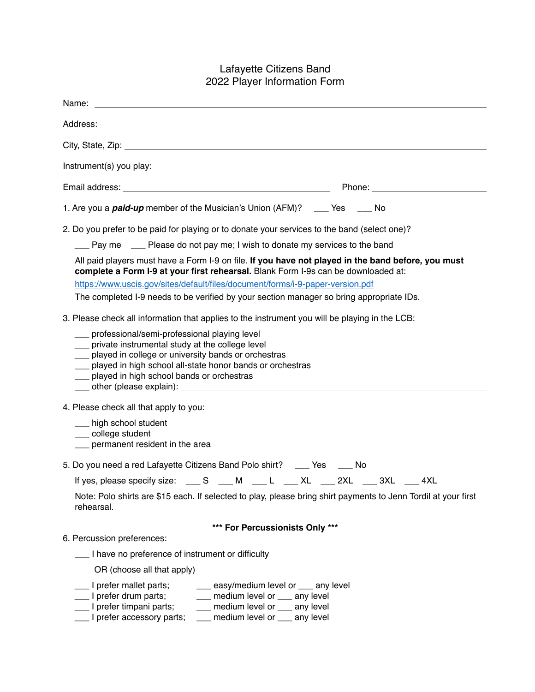## Lafayette Citizens Band 2022 Player Information Form

| Address: <u>with the contract of the contract of the contract of the contract of the contract of the contract of the contract of the contract of the contract of the contract of the contract of the contract of the contract of</u>                                                                                                                                                                                                                                                                                     |  |  |  |  |  |  |  |
|--------------------------------------------------------------------------------------------------------------------------------------------------------------------------------------------------------------------------------------------------------------------------------------------------------------------------------------------------------------------------------------------------------------------------------------------------------------------------------------------------------------------------|--|--|--|--|--|--|--|
|                                                                                                                                                                                                                                                                                                                                                                                                                                                                                                                          |  |  |  |  |  |  |  |
|                                                                                                                                                                                                                                                                                                                                                                                                                                                                                                                          |  |  |  |  |  |  |  |
|                                                                                                                                                                                                                                                                                                                                                                                                                                                                                                                          |  |  |  |  |  |  |  |
| 1. Are you a <i>paid-up</i> member of the Musician's Union (AFM)? ____ Yes ____ No                                                                                                                                                                                                                                                                                                                                                                                                                                       |  |  |  |  |  |  |  |
| 2. Do you prefer to be paid for playing or to donate your services to the band (select one)?                                                                                                                                                                                                                                                                                                                                                                                                                             |  |  |  |  |  |  |  |
| ___ Pay me ___ Please do not pay me; I wish to donate my services to the band                                                                                                                                                                                                                                                                                                                                                                                                                                            |  |  |  |  |  |  |  |
| All paid players must have a Form I-9 on file. If you have not played in the band before, you must<br>complete a Form I-9 at your first rehearsal. Blank Form I-9s can be downloaded at:<br>https://www.uscis.gov/sites/default/files/document/forms/i-9-paper-version.pdf<br>The completed I-9 needs to be verified by your section manager so bring appropriate IDs.                                                                                                                                                   |  |  |  |  |  |  |  |
| 3. Please check all information that applies to the instrument you will be playing in the LCB:                                                                                                                                                                                                                                                                                                                                                                                                                           |  |  |  |  |  |  |  |
| ___ professional/semi-professional playing level<br>__ private instrumental study at the college level<br>__ played in college or university bands or orchestras<br>__ played in high school all-state honor bands or orchestras<br>__ played in high school bands or orchestras<br>other (please explain): <u>contract and contract and contract and contract and contract and contract and contract and contract and contract and contract and contract and contract and contract and contract and contract and co</u> |  |  |  |  |  |  |  |
| 4. Please check all that apply to you:                                                                                                                                                                                                                                                                                                                                                                                                                                                                                   |  |  |  |  |  |  |  |
| ___ high school student<br>___ college student<br>permanent resident in the area                                                                                                                                                                                                                                                                                                                                                                                                                                         |  |  |  |  |  |  |  |
| 5. Do you need a red Lafayette Citizens Band Polo shirt? ____ Yes ____ No                                                                                                                                                                                                                                                                                                                                                                                                                                                |  |  |  |  |  |  |  |
| If yes, please specify size: ____ S ____ M ____ L ____ XL ____ 2XL ____ 3XL ____ 4XL                                                                                                                                                                                                                                                                                                                                                                                                                                     |  |  |  |  |  |  |  |
| Note: Polo shirts are \$15 each. If selected to play, please bring shirt payments to Jenn Tordil at your first<br>rehearsal.                                                                                                                                                                                                                                                                                                                                                                                             |  |  |  |  |  |  |  |
| *** For Percussionists Only ***                                                                                                                                                                                                                                                                                                                                                                                                                                                                                          |  |  |  |  |  |  |  |
| 6. Percussion preferences:                                                                                                                                                                                                                                                                                                                                                                                                                                                                                               |  |  |  |  |  |  |  |
| __ I have no preference of instrument or difficulty                                                                                                                                                                                                                                                                                                                                                                                                                                                                      |  |  |  |  |  |  |  |
| OR (choose all that apply)                                                                                                                                                                                                                                                                                                                                                                                                                                                                                               |  |  |  |  |  |  |  |
| ___ I prefer mallet parts;<br>easy/medium level or ___ any level<br>___ I prefer drum parts;<br>__ medium level or __ any level<br>___ I prefer timpani parts;<br>__ medium level or __ any level<br>___ I prefer accessory parts;<br>__ medium level or __ any level                                                                                                                                                                                                                                                    |  |  |  |  |  |  |  |